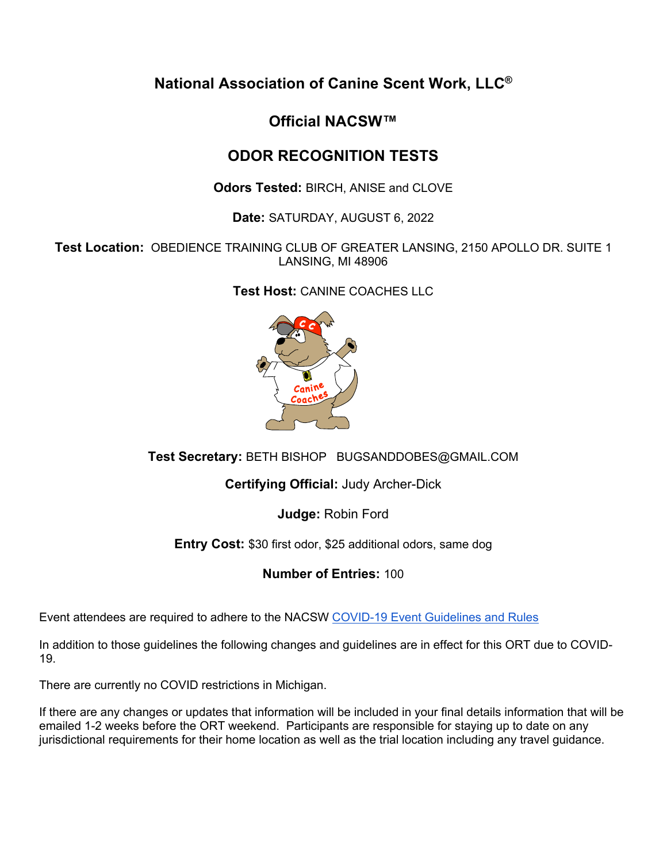**National Association of Canine Scent Work, LLC®**

# **Official NACSW™**

# **ODOR RECOGNITION TESTS**

**Odors Tested:** BIRCH, ANISE and CLOVE

**Date:** SATURDAY, AUGUST 6, 2022

**Test Location:** OBEDIENCE TRAINING CLUB OF GREATER LANSING, 2150 APOLLO DR. SUITE 1 LANSING, MI 48906

**Test Host:** CANINE COACHES LLC



**Test Secretary:** BETH BISHOP BUGSANDDOBES@GMAIL.COM

**Certifying Official:** Judy Archer-Dick

**Judge:** Robin Ford

**Entry Cost:** \$30 first odor, \$25 additional odors, same dog

**Number of Entries:** 100

Event attendees are required to adhere to the NACSW COVID-19 Event Guidelines and Rules

In addition to those guidelines the following changes and guidelines are in effect for this ORT due to COVID-19.

There are currently no COVID restrictions in Michigan.

If there are any changes or updates that information will be included in your final details information that will be emailed 1-2 weeks before the ORT weekend. Participants are responsible for staying up to date on any jurisdictional requirements for their home location as well as the trial location including any travel guidance.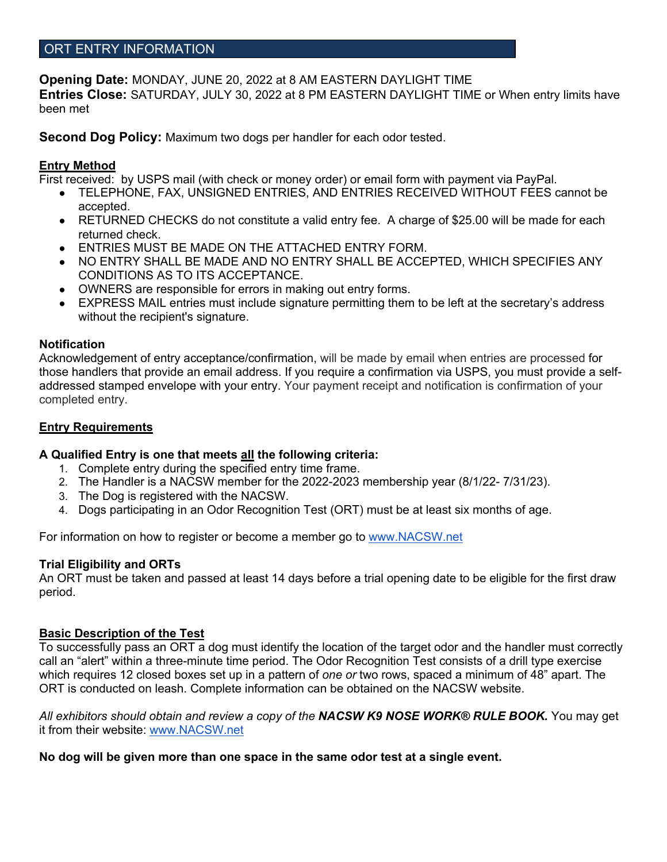# ORT ENTRY INFORMATION

**Opening Date:** MONDAY, JUNE 20, 2022 at 8 AM EASTERN DAYLIGHT TIME

**Entries Close:** SATURDAY, JULY 30, 2022 at 8 PM EASTERN DAYLIGHT TIME or When entry limits have been met

**Second Dog Policy:** Maximum two dogs per handler for each odor tested.

# **Entry Method**

First received: by USPS mail (with check or money order) or email form with payment via PayPal.

- TELEPHONE, FAX, UNSIGNED ENTRIES, AND ENTRIES RECEIVED WITHOUT FEES cannot be accepted.
- RETURNED CHECKS do not constitute a valid entry fee. A charge of \$25.00 will be made for each returned check.
- **ENTRIES MUST BE MADE ON THE ATTACHED ENTRY FORM.**
- NO ENTRY SHALL BE MADE AND NO ENTRY SHALL BE ACCEPTED, WHICH SPECIFIES ANY CONDITIONS AS TO ITS ACCEPTANCE.
- OWNERS are responsible for errors in making out entry forms.
- EXPRESS MAIL entries must include signature permitting them to be left at the secretary's address without the recipient's signature.

## **Notification**

Acknowledgement of entry acceptance/confirmation, will be made by email when entries are processed for those handlers that provide an email address. If you require a confirmation via USPS, you must provide a selfaddressed stamped envelope with your entry. Your payment receipt and notification is confirmation of your completed entry.

# **Entry Requirements**

## **A Qualified Entry is one that meets all the following criteria:**

- 1. Complete entry during the specified entry time frame.
- 2. The Handler is a NACSW member for the 2022-2023 membership year (8/1/22- 7/31/23).
- 3. The Dog is registered with the NACSW.
- 4. Dogs participating in an Odor Recognition Test (ORT) must be at least six months of age.

For information on how to register or become a member go to www.NACSW.net

## **Trial Eligibility and ORTs**

An ORT must be taken and passed at least 14 days before a trial opening date to be eligible for the first draw period.

## **Basic Description of the Test**

To successfully pass an ORT a dog must identify the location of the target odor and the handler must correctly call an "alert" within a three-minute time period. The Odor Recognition Test consists of a drill type exercise which requires 12 closed boxes set up in a pattern of *one or* two rows, spaced a minimum of 48" apart. The ORT is conducted on leash. Complete information can be obtained on the NACSW website.

*All exhibitors should obtain and review a copy of the NACSW K9 NOSE WORK® RULE BOOK.* You may get it from their website: www.NACSW.net

## **No dog will be given more than one space in the same odor test at a single event.**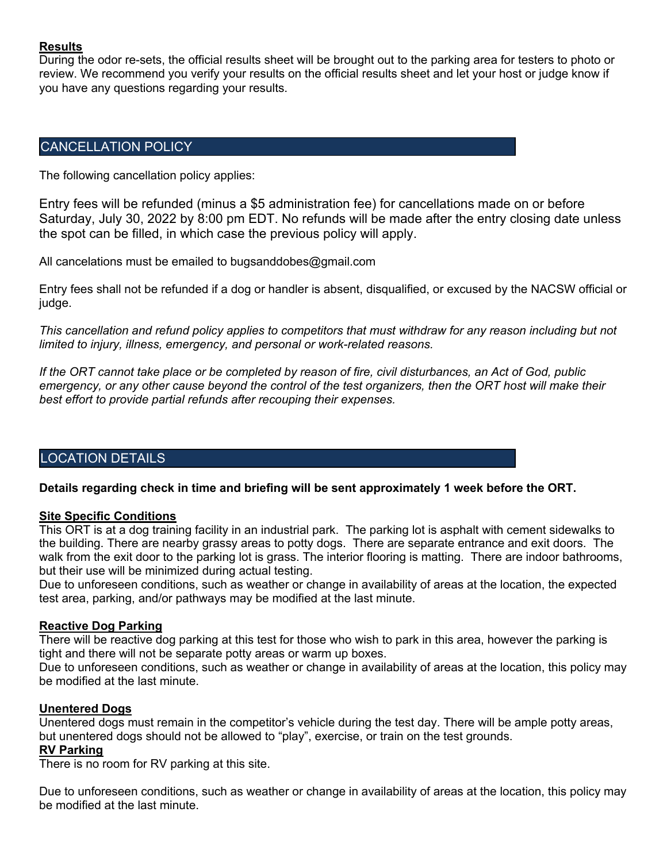#### **Results**

During the odor re-sets, the official results sheet will be brought out to the parking area for testers to photo or review. We recommend you verify your results on the official results sheet and let your host or judge know if you have any questions regarding your results.

# CANCELLATION POLICY

The following cancellation policy applies:

Entry fees will be refunded (minus a \$5 administration fee) for cancellations made on or before Saturday, July 30, 2022 by 8:00 pm EDT. No refunds will be made after the entry closing date unless the spot can be filled, in which case the previous policy will apply.

All cancelations must be emailed to bugsanddobes@gmail.com

Entry fees shall not be refunded if a dog or handler is absent, disqualified, or excused by the NACSW official or judge.

*This cancellation and refund policy applies to competitors that must withdraw for any reason including but not limited to injury, illness, emergency, and personal or work-related reasons.*

*If the ORT cannot take place or be completed by reason of fire, civil disturbances, an Act of God, public emergency, or any other cause beyond the control of the test organizers, then the ORT host will make their best effort to provide partial refunds after recouping their expenses.*

## LOCATION DETAILS

## **Details regarding check in time and briefing will be sent approximately 1 week before the ORT.**

#### **Site Specific Conditions**

This ORT is at a dog training facility in an industrial park. The parking lot is asphalt with cement sidewalks to the building. There are nearby grassy areas to potty dogs. There are separate entrance and exit doors. The walk from the exit door to the parking lot is grass. The interior flooring is matting. There are indoor bathrooms, but their use will be minimized during actual testing.

Due to unforeseen conditions, such as weather or change in availability of areas at the location, the expected test area, parking, and/or pathways may be modified at the last minute.

#### **Reactive Dog Parking**

There will be reactive dog parking at this test for those who wish to park in this area, however the parking is tight and there will not be separate potty areas or warm up boxes.

Due to unforeseen conditions, such as weather or change in availability of areas at the location, this policy may be modified at the last minute.

#### **Unentered Dogs**

Unentered dogs must remain in the competitor's vehicle during the test day. There will be ample potty areas, but unentered dogs should not be allowed to "play", exercise, or train on the test grounds.

# **RV Parking**

There is no room for RV parking at this site.

Due to unforeseen conditions, such as weather or change in availability of areas at the location, this policy may be modified at the last minute.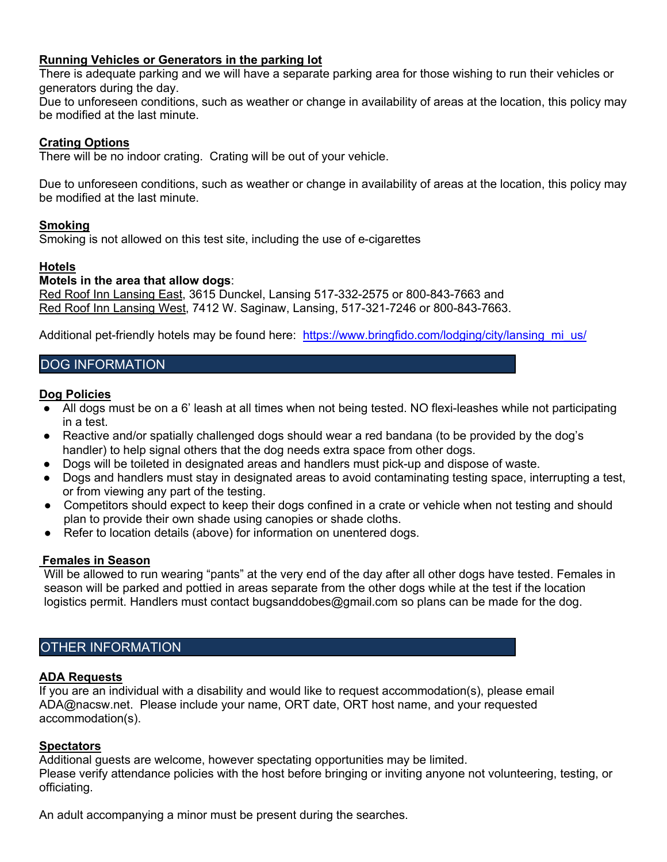## **Running Vehicles or Generators in the parking lot**

There is adequate parking and we will have a separate parking area for those wishing to run their vehicles or generators during the day.

Due to unforeseen conditions, such as weather or change in availability of areas at the location, this policy may be modified at the last minute.

#### **Crating Options**

There will be no indoor crating. Crating will be out of your vehicle.

Due to unforeseen conditions, such as weather or change in availability of areas at the location, this policy may be modified at the last minute.

#### **Smoking**

Smoking is not allowed on this test site, including the use of e-cigarettes

#### **Hotels**

#### **Motels in the area that allow dogs**:

Red Roof Inn Lansing East, 3615 Dunckel, Lansing 517-332-2575 or 800-843-7663 and Red Roof Inn Lansing West, 7412 W. Saginaw, Lansing, 517-321-7246 or 800-843-7663.

Additional pet-friendly hotels may be found here: https://www.bringfido.com/lodging/city/lansing\_mi\_us/

# DOG INFORMATION

#### **Dog Policies**

- All dogs must be on a 6' leash at all times when not being tested. NO flexi-leashes while not participating in a test.
- Reactive and/or spatially challenged dogs should wear a red bandana (to be provided by the dog's handler) to help signal others that the dog needs extra space from other dogs.
- Dogs will be toileted in designated areas and handlers must pick-up and dispose of waste.
- Dogs and handlers must stay in designated areas to avoid contaminating testing space, interrupting a test, or from viewing any part of the testing.
- Competitors should expect to keep their dogs confined in a crate or vehicle when not testing and should plan to provide their own shade using canopies or shade cloths.
- Refer to location details (above) for information on unentered dogs.

#### **Females in Season**

Will be allowed to run wearing "pants" at the very end of the day after all other dogs have tested. Females in season will be parked and pottied in areas separate from the other dogs while at the test if the location logistics permit. Handlers must contact bugsanddobes@gmail.com so plans can be made for the dog.

# OTHER INFORMATION

#### **ADA Requests**

If you are an individual with a disability and would like to request accommodation(s), please email ADA@nacsw.net. Please include your name, ORT date, ORT host name, and your requested accommodation(s).

#### **Spectators**

Additional guests are welcome, however spectating opportunities may be limited. Please verify attendance policies with the host before bringing or inviting anyone not volunteering, testing, or officiating.

An adult accompanying a minor must be present during the searches.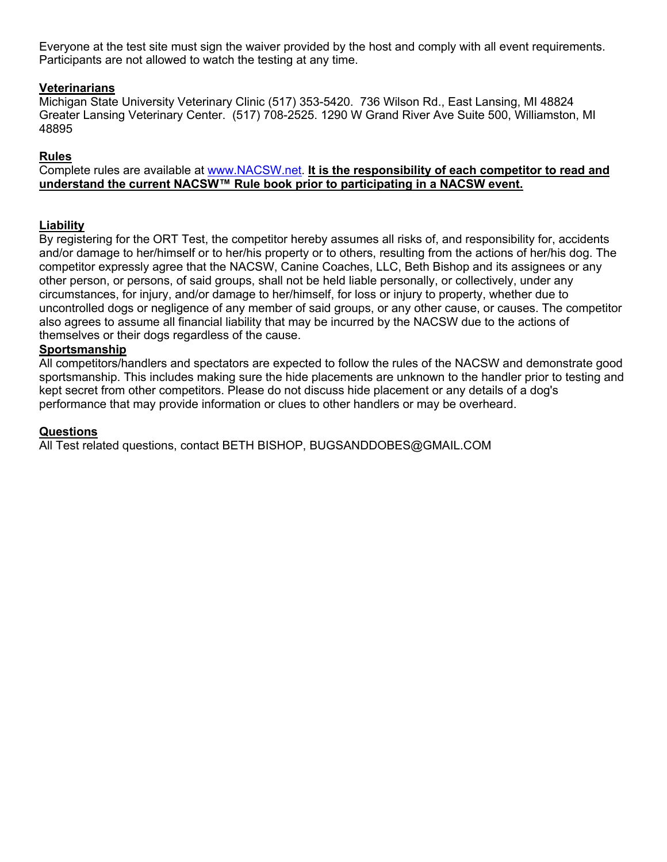Everyone at the test site must sign the waiver provided by the host and comply with all event requirements. Participants are not allowed to watch the testing at any time.

# **Veterinarians**

Michigan State University Veterinary Clinic (517) 353-5420. 736 Wilson Rd., East Lansing, MI 48824 Greater Lansing Veterinary Center. (517) 708-2525. 1290 W Grand River Ave Suite 500, Williamston, MI 48895

# **Rules**

Complete rules are available at www.NACSW.net. **It is the responsibility of each competitor to read and understand the current NACSW™ Rule book prior to participating in a NACSW event.**

## **Liability**

By registering for the ORT Test, the competitor hereby assumes all risks of, and responsibility for, accidents and/or damage to her/himself or to her/his property or to others, resulting from the actions of her/his dog. The competitor expressly agree that the NACSW, Canine Coaches, LLC, Beth Bishop and its assignees or any other person, or persons, of said groups, shall not be held liable personally, or collectively, under any circumstances, for injury, and/or damage to her/himself, for loss or injury to property, whether due to uncontrolled dogs or negligence of any member of said groups, or any other cause, or causes. The competitor also agrees to assume all financial liability that may be incurred by the NACSW due to the actions of themselves or their dogs regardless of the cause.

## **Sportsmanship**

All competitors/handlers and spectators are expected to follow the rules of the NACSW and demonstrate good sportsmanship. This includes making sure the hide placements are unknown to the handler prior to testing and kept secret from other competitors. Please do not discuss hide placement or any details of a dog's performance that may provide information or clues to other handlers or may be overheard.

#### **Questions**

All Test related questions, contact BETH BISHOP, BUGSANDDOBES@GMAIL.COM